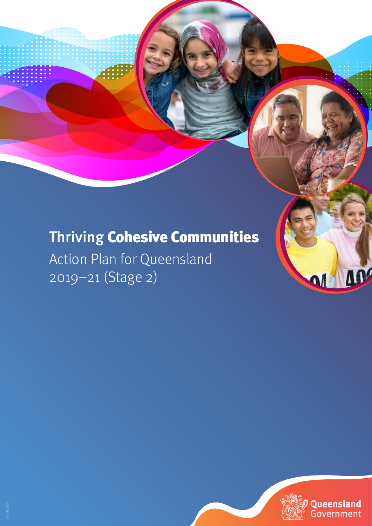# Thriving Cohesive Communities

Action Plan for Queensland 2019–21 (Stage 2)



ADC

MM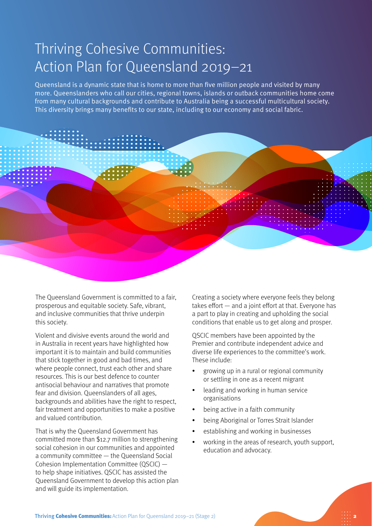### Thriving Cohesive Communities: Action Plan for Queensland 2019–21

Queensland is a dynamic state that is home to more than five million people and visited by many more. Queenslanders who call our cities, regional towns, islands or outback communities home come from many cultural backgrounds and contribute to Australia being a successful multicultural society. This diversity brings many benefits to our state, including to our economy and social fabric.



The Queensland Government is committed to a fair, prosperous and equitable society. Safe, vibrant, and inclusive communities that thrive underpin this society.

Violent and divisive events around the world and in Australia in recent years have highlighted how important it is to maintain and build communities that stick together in good and bad times, and where people connect, trust each other and share resources. This is our best defence to counter antisocial behaviour and narratives that promote fear and division. Queenslanders of all ages, backgrounds and abilities have the right to respect, fair treatment and opportunities to make a positive and valued contribution.

That is why the Queensland Government has committed more than \$12.7 million to strengthening social cohesion in our communities and appointed a community committee — the Queensland Social Cohesion Implementation Committee (QSCIC) to help shape initiatives. QSCIC has assisted the Queensland Government to develop this action plan and will guide its implementation.

Creating a society where everyone feels they belong takes effort — and a joint effort at that. Everyone has a part to play in creating and upholding the social conditions that enable us to get along and prosper.

QSCIC members have been appointed by the Premier and contribute independent advice and diverse life experiences to the committee's work. These include:

- growing up in a rural or regional community or settling in one as a recent migrant
- leading and working in human service organisations
- being active in a faith community
- being Aboriginal or Torres Strait Islander
- establishing and working in businesses
- working in the areas of research, youth support, education and advocacy.

2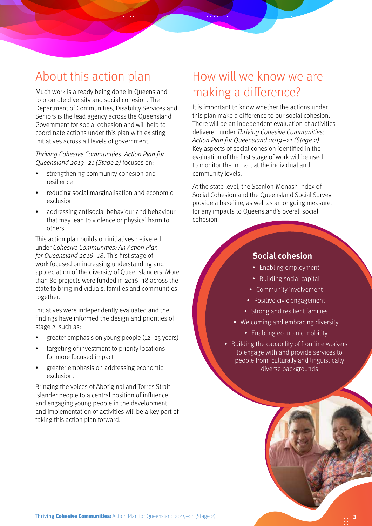### About this action plan

Much work is already being done in Queensland to promote diversity and social cohesion. The Department of Communities, Disability Services and Seniors is the lead agency across the Queensland Government for social cohesion and will help to coordinate actions under this plan with existing initiatives across all levels of government.

Thriving Cohesive Communities: Action Plan for Queensland 2019–21 (Stage 2) focuses on:

- strengthening community cohesion and resilience
- reducing social marginalisation and economic exclusion
- addressing antisocial behaviour and behaviour that may lead to violence or physical harm to others.

This action plan builds on initiatives delivered under Cohesive Communities: An Action Plan for Queensland 2016–18. This first stage of work focused on increasing understanding and appreciation of the diversity of Queenslanders. More than 80 projects were funded in 2016–18 across the state to bring individuals, families and communities together.

Initiatives were independently evaluated and the findings have informed the design and priorities of stage 2, such as:

- greater emphasis on young people (12–25 years)
- targeting of investment to priority locations for more focused impact
- greater emphasis on addressing economic exclusion.

Bringing the voices of Aboriginal and Torres Strait Islander people to a central position of influence and engaging young people in the development and implementation of activities will be a key part of taking this action plan forward.

### How will we know we are making a difference?

It is important to know whether the actions under this plan make a difference to our social cohesion. There will be an independent evaluation of activities delivered under Thriving Cohesive Communities: Action Plan for Queensland 2019–21 (Stage 2). Key aspects of social cohesion identified in the evaluation of the first stage of work will be used to monitor the impact at the individual and community levels.

At the state level, the Scanlon-Monash Index of Social Cohesion and the Queensland Social Survey provide a baseline, as well as an ongoing measure, for any impacts to Queensland's overall social cohesion.

#### **Social cohesion**

- Enabling employment
- Building social capital
- Community involvement
- Positive civic engagement
- Strong and resilient families
- Welcoming and embracing diversity
	- Enabling economic mobility
- Building the capability of frontline workers to engage with and provide services to people from culturally and linguistically diverse backgrounds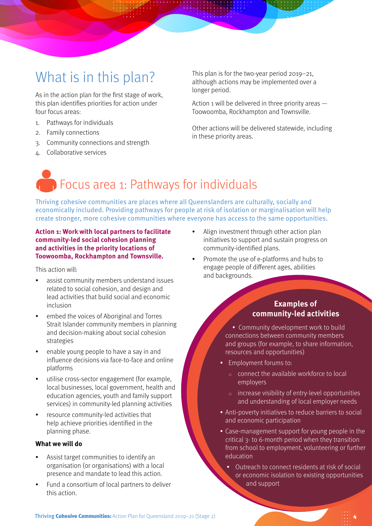## What is in this plan?

As in the action plan for the first stage of work, this plan identifies priorities for action under four focus areas:

- 1. Pathways for individuals
- 2. Family connections
- 3. Community connections and strength
- 4. Collaborative services

This plan is for the two-year period 2019–21, although actions may be implemented over a longer period.

Action 1 will be delivered in three priority areas — Toowoomba, Rockhampton and Townsville.

Other actions will be delivered statewide, including in these priority areas.

## **Focus area 1: Pathways for individuals**

Thriving cohesive communities are places where all Queenslanders are culturally, socially and economically included. Providing pathways for people at risk of isolation or marginalisation will help create stronger, more cohesive communities where everyone has access to the same opportunities.

#### **Action 1: Work with local partners to facilitate community-led social cohesion planning and activities in the priority locations of Toowoomba, Rockhampton and Townsville.**

This action will:

- assist community members understand issues related to social cohesion, and design and lead activities that build social and economic inclusion
- embed the voices of Aboriginal and Torres Strait Islander community members in planning and decision-making about social cohesion strategies
- enable young people to have a say in and influence decisions via face-to-face and online platforms
- utilise cross-sector engagement (for example, local businesses, local government, health and education agencies, youth and family support services) in community-led planning activities
- resource community-led activities that help achieve priorities identified in the planning phase.

#### **What we will do**

- Assist target communities to identify an organisation (or organisations) with a local presence and mandate to lead this action.
- Fund a consortium of local partners to deliver this action.
- Align investment through other action plan initiatives to support and sustain progress on community-identified plans.
- Promote the use of e-platforms and hubs to engage people of different ages, abilities and backgrounds.

#### **Examples of community-led activities**

• Community development work to build connections between community members and groups (for example, to share information, resources and opportunities)

- Employment forums to:
	- connect the available workforce to local employers
	- increase visibility of entry-level opportunities and understanding of local employer needs
- Anti-poverty initiatives to reduce barriers to social and economic participation
- Case-management support for young people in the critical 3- to 6-month period when they transition from school to employment, volunteering or further education
	- Outreach to connect residents at risk of social or economic isolation to existing opportunities and support

Thriving Cohesive Communities: Action Plan for Queensland 2019-21 (Stage 2)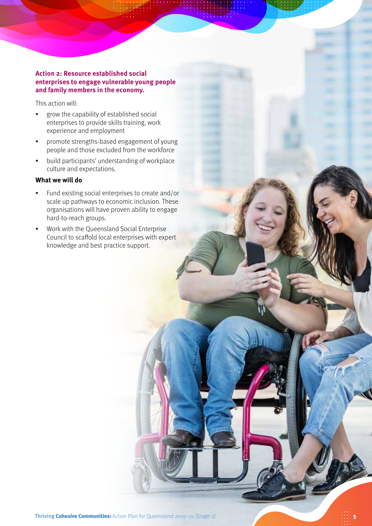#### **Action 2: Resource established social enterprises to engage vulnerable young people and family members in the economy.**

This action will:

- grow the capability of established social enterprises to provide skills training, work experience and employment
- promote strengths-based engagement of young people and those excluded from the workforce
- build participants' understanding of workplace culture and expectations.

#### **What we will do**

- Fund existing social enterprises to create and/or scale up pathways to economic inclusion. These organisations will have proven ability to engage hard-to-reach groups.
- Work with the Queensland Social Enterprise Council to scaffold local enterprises with expert knowledge and best practice support.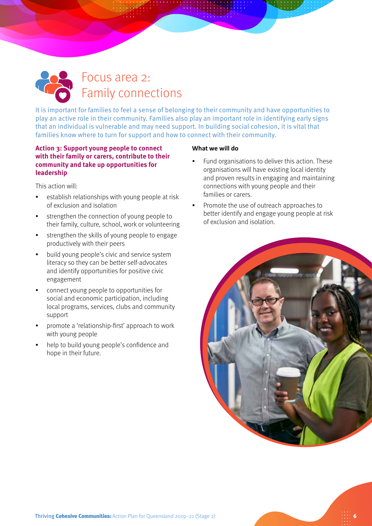

It is important for families to feel a sense of belonging to their community and have opportunities to play an active role in their community. Families also play an important role in identifying early signs that an individual is vulnerable and may need support. In building social cohesion, it is vital that families know where to turn for support and how to connect with their community.

#### **Action 3: Support young people to connect with their family or carers, contribute to their community and take up opportunities for leadership**

This action will:

- establish relationships with young people at risk of exclusion and isolation
- strengthen the connection of young people to their family, culture, school, work or volunteering
- strengthen the skills of young people to engage productively with their peers
- build young people's civic and service system literacy so they can be better self-advocates and identify opportunities for positive civic engagement
- connect young people to opportunities for social and economic participation, including local programs, services, clubs and community support
- promote a 'relationship-first' approach to work with young people
- help to build young people's confidence and hope in their future.

#### **What we will do**

- Fund organisations to deliver this action. These organisations will have existing local identity and proven results in engaging and maintaining connections with young people and their families or carers.
- Promote the use of outreach approaches to better identify and engage young people at risk of exclusion and isolation.

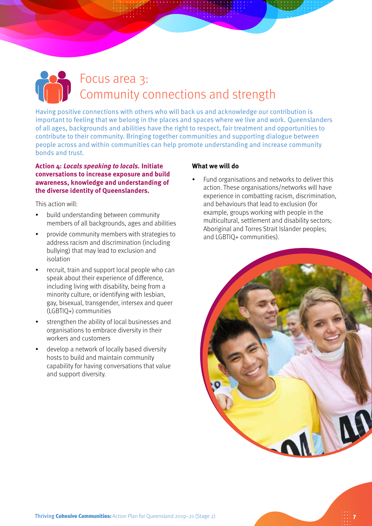## Focus area 3: Community connections and strength

Having positive connections with others who will back us and acknowledge our contribution is important to feeling that we belong in the places and spaces where we live and work. Queenslanders of all ages, backgrounds and abilities have the right to respect, fair treatment and opportunities to contribute to their community. Bringing together communities and supporting dialogue between people across and within communities can help promote understanding and increase community bonds and trust.

#### **Action 4: Locals speaking to locals. Initiate conversations to increase exposure and build awareness, knowledge and understanding of the diverse identity of Queenslanders.**

This action will:

- build understanding between community members of all backgrounds, ages and abilities
- provide community members with strategies to address racism and discrimination (including bullying) that may lead to exclusion and isolation
- recruit, train and support local people who can speak about their experience of difference, including living with disability, being from a minority culture, or identifying with lesbian, gay, bisexual, transgender, intersex and queer (LGBTIQ+) communities
- strengthen the ability of local businesses and organisations to embrace diversity in their workers and customers
- develop a network of locally based diversity hosts to build and maintain community capability for having conversations that value and support diversity.

#### **What we will do**

• Fund organisations and networks to deliver this action. These organisations/networks will have experience in combatting racism, discrimination, and behaviours that lead to exclusion (for example, groups working with people in the multicultural, settlement and disability sectors; Aboriginal and Torres Strait Islander peoples; and LGBTIQ+ communities).